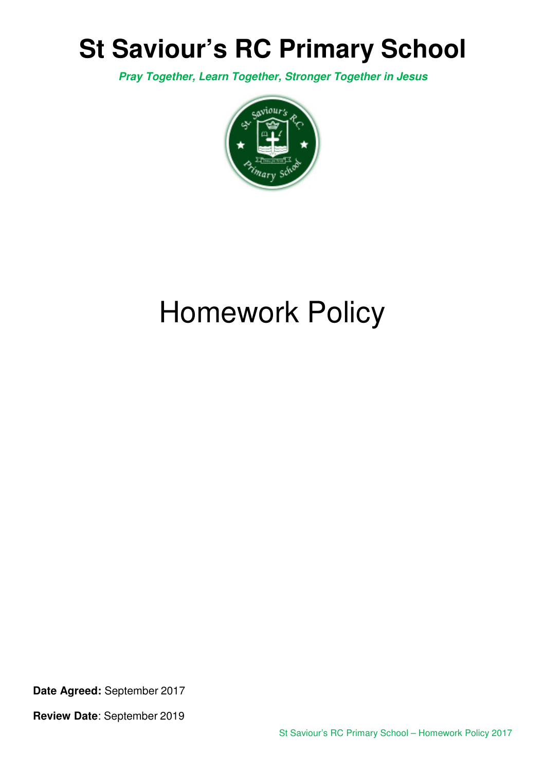## **St Saviour's RC Primary School**

**Pray Together, Learn Together, Stronger Together in Jesus** 



# Homework Policy

**Date Agreed:** September 2017

**Review Date**: September 2019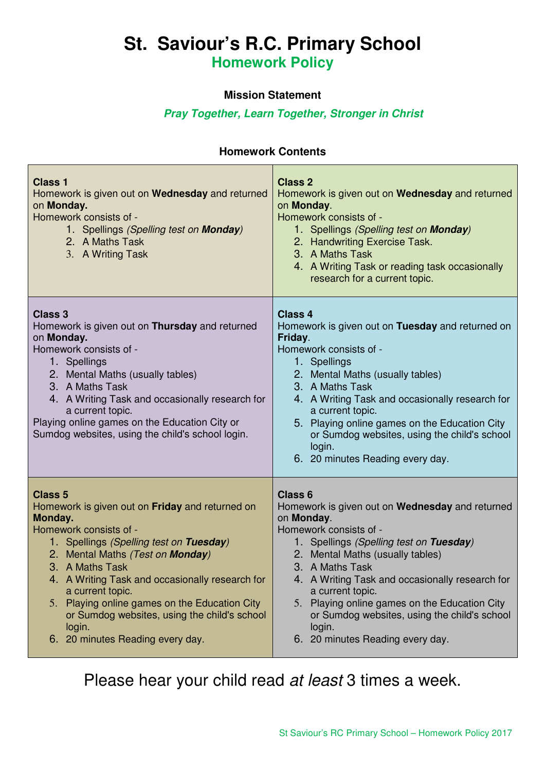### **St. Saviour's R.C. Primary School Homework Policy**

#### **Mission Statement**

#### **Pray Together, Learn Together, Stronger in Christ**

#### **Homework Contents**

| <b>Class 1</b><br>Homework is given out on Wednesday and returned<br>on Monday.<br>Homework consists of -<br>1. Spellings (Spelling test on <b>Monday</b> )<br>2. A Maths Task<br>3. A Writing Task                                                                                                                                                                                                                            | <b>Class 2</b><br>Homework is given out on Wednesday and returned<br>on Monday.<br>Homework consists of -<br>1. Spellings (Spelling test on <b>Monday</b> )<br>2. Handwriting Exercise Task.<br>3. A Maths Task<br>4. A Writing Task or reading task occasionally<br>research for a current topic.                                                                                                                                |
|--------------------------------------------------------------------------------------------------------------------------------------------------------------------------------------------------------------------------------------------------------------------------------------------------------------------------------------------------------------------------------------------------------------------------------|-----------------------------------------------------------------------------------------------------------------------------------------------------------------------------------------------------------------------------------------------------------------------------------------------------------------------------------------------------------------------------------------------------------------------------------|
| <b>Class 3</b><br>Homework is given out on Thursday and returned<br>on Monday.<br>Homework consists of -<br>1. Spellings<br>2. Mental Maths (usually tables)<br>3. A Maths Task<br>4. A Writing Task and occasionally research for<br>a current topic.<br>Playing online games on the Education City or<br>Sumdog websites, using the child's school login.                                                                    | <b>Class 4</b><br>Homework is given out on Tuesday and returned on<br>Friday.<br>Homework consists of -<br>1. Spellings<br>2. Mental Maths (usually tables)<br>3. A Maths Task<br>4. A Writing Task and occasionally research for<br>a current topic.<br>5. Playing online games on the Education City<br>or Sumdog websites, using the child's school<br>login.<br>6. 20 minutes Reading every day.                              |
| <b>Class 5</b><br>Homework is given out on Friday and returned on<br>Monday.<br>Homework consists of -<br>1. Spellings (Spelling test on Tuesday)<br>2. Mental Maths (Test on Monday)<br>3. A Maths Task<br>4. A Writing Task and occasionally research for<br>a current topic.<br>5. Playing online games on the Education City<br>or Sumdog websites, using the child's school<br>login.<br>6. 20 minutes Reading every day. | <b>Class 6</b><br>Homework is given out on Wednesday and returned<br>on Monday.<br>Homework consists of -<br>1. Spellings (Spelling test on Tuesday)<br>2. Mental Maths (usually tables)<br>3. A Maths Task<br>4. A Writing Task and occasionally research for<br>a current topic.<br>5. Playing online games on the Education City<br>or Sumdog websites, using the child's school<br>login.<br>6. 20 minutes Reading every day. |

Please hear your child read at least 3 times a week.